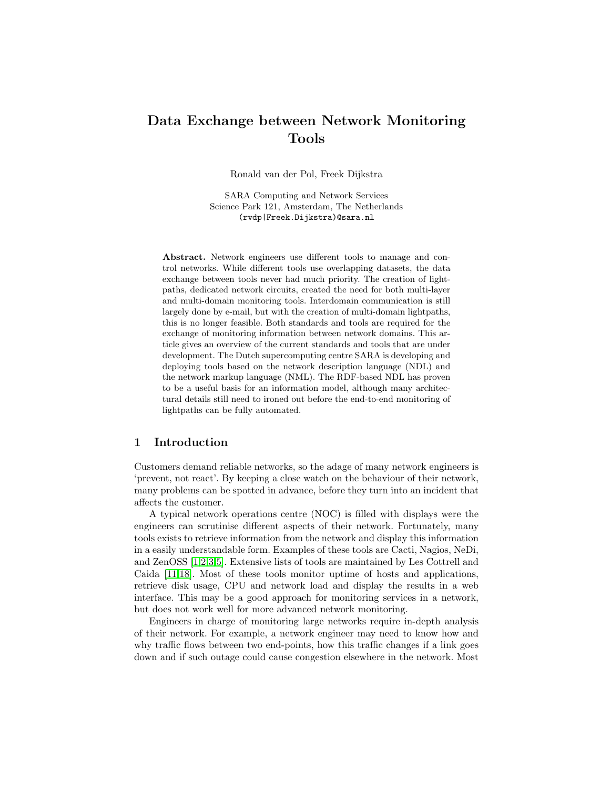# Data Exchange between Network Monitoring Tools

Ronald van der Pol, Freek Dijkstra

SARA Computing and Network Services Science Park 121, Amsterdam, The Netherlands (rvdp|Freek.Dijkstra)@sara.nl

Abstract. Network engineers use different tools to manage and control networks. While different tools use overlapping datasets, the data exchange between tools never had much priority. The creation of lightpaths, dedicated network circuits, created the need for both multi-layer and multi-domain monitoring tools. Interdomain communication is still largely done by e-mail, but with the creation of multi-domain lightpaths, this is no longer feasible. Both standards and tools are required for the exchange of monitoring information between network domains. This article gives an overview of the current standards and tools that are under development. The Dutch supercomputing centre SARA is developing and deploying tools based on the network description language (NDL) and the network markup language (NML). The RDF-based NDL has proven to be a useful basis for an information model, although many architectural details still need to ironed out before the end-to-end monitoring of lightpaths can be fully automated.

# 1 Introduction

Customers demand reliable networks, so the adage of many network engineers is 'prevent, not react'. By keeping a close watch on the behaviour of their network, many problems can be spotted in advance, before they turn into an incident that affects the customer.

A typical network operations centre (NOC) is filled with displays were the engineers can scrutinise different aspects of their network. Fortunately, many tools exists to retrieve information from the network and display this information in a easily understandable form. Examples of these tools are Cacti, Nagios, NeDi, and ZenOSS [\[1,](#page-9-0)[2,](#page-9-1)[3,](#page-9-2)[5\]](#page-9-3). Extensive lists of tools are maintained by Les Cottrell and Caida [\[11,](#page-10-0)[18\]](#page-10-1). Most of these tools monitor uptime of hosts and applications, retrieve disk usage, CPU and network load and display the results in a web interface. This may be a good approach for monitoring services in a network, but does not work well for more advanced network monitoring.

Engineers in charge of monitoring large networks require in-depth analysis of their network. For example, a network engineer may need to know how and why traffic flows between two end-points, how this traffic changes if a link goes down and if such outage could cause congestion elsewhere in the network. Most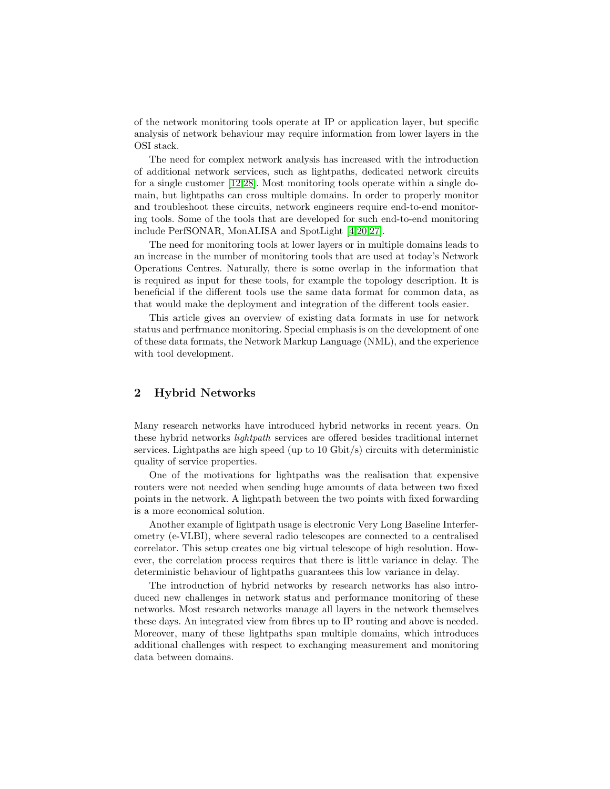of the network monitoring tools operate at IP or application layer, but specific analysis of network behaviour may require information from lower layers in the OSI stack.

The need for complex network analysis has increased with the introduction of additional network services, such as lightpaths, dedicated network circuits for a single customer [\[12,](#page-10-2)[28\]](#page-11-0). Most monitoring tools operate within a single domain, but lightpaths can cross multiple domains. In order to properly monitor and troubleshoot these circuits, network engineers require end-to-end monitoring tools. Some of the tools that are developed for such end-to-end monitoring include PerfSONAR, MonALISA and SpotLight [\[4,](#page-9-4)[20](#page-10-3)[,27\]](#page-11-1).

The need for monitoring tools at lower layers or in multiple domains leads to an increase in the number of monitoring tools that are used at today's Network Operations Centres. Naturally, there is some overlap in the information that is required as input for these tools, for example the topology description. It is beneficial if the different tools use the same data format for common data, as that would make the deployment and integration of the different tools easier.

This article gives an overview of existing data formats in use for network status and perfrmance monitoring. Special emphasis is on the development of one of these data formats, the Network Markup Language (NML), and the experience with tool development.

# 2 Hybrid Networks

Many research networks have introduced hybrid networks in recent years. On these hybrid networks lightpath services are offered besides traditional internet services. Lightpaths are high speed (up to 10 Gbit/s) circuits with deterministic quality of service properties.

One of the motivations for lightpaths was the realisation that expensive routers were not needed when sending huge amounts of data between two fixed points in the network. A lightpath between the two points with fixed forwarding is a more economical solution.

Another example of lightpath usage is electronic Very Long Baseline Interferometry (e-VLBI), where several radio telescopes are connected to a centralised correlator. This setup creates one big virtual telescope of high resolution. However, the correlation process requires that there is little variance in delay. The deterministic behaviour of lightpaths guarantees this low variance in delay.

The introduction of hybrid networks by research networks has also introduced new challenges in network status and performance monitoring of these networks. Most research networks manage all layers in the network themselves these days. An integrated view from fibres up to IP routing and above is needed. Moreover, many of these lightpaths span multiple domains, which introduces additional challenges with respect to exchanging measurement and monitoring data between domains.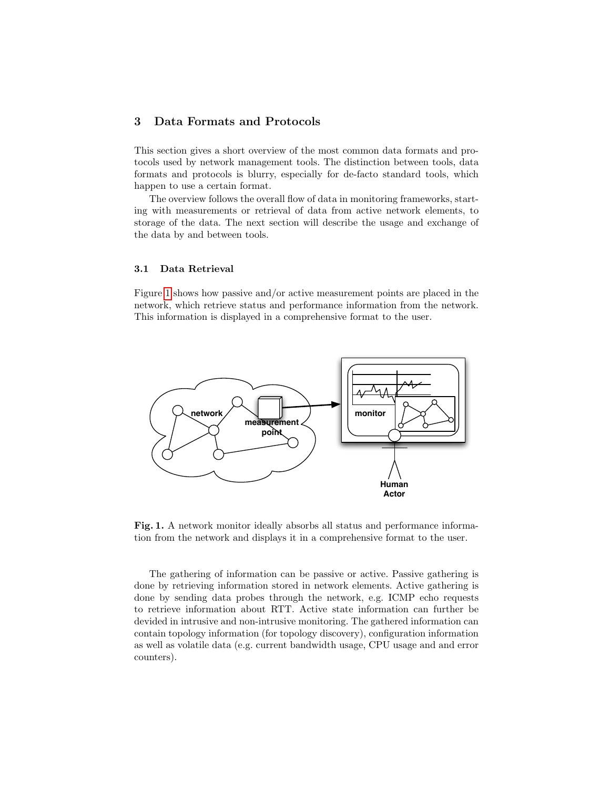# 3 Data Formats and Protocols

This section gives a short overview of the most common data formats and protocols used by network management tools. The distinction between tools, data formats and protocols is blurry, especially for de-facto standard tools, which happen to use a certain format.

The overview follows the overall flow of data in monitoring frameworks, starting with measurements or retrieval of data from active network elements, to storage of the data. The next section will describe the usage and exchange of the data by and between tools.

## 3.1 Data Retrieval

Figure [1](#page-2-0) shows how passive and/or active measurement points are placed in the network, which retrieve status and performance information from the network. This information is displayed in a comprehensive format to the user.



<span id="page-2-0"></span>Fig. 1. A network monitor ideally absorbs all status and performance information from the network and displays it in a comprehensive format to the user.

The gathering of information can be passive or active. Passive gathering is done by retrieving information stored in network elements. Active gathering is done by sending data probes through the network, e.g. ICMP echo requests to retrieve information about RTT. Active state information can further be devided in intrusive and non-intrusive monitoring. The gathered information can contain topology information (for topology discovery), configuration information as well as volatile data (e.g. current bandwidth usage, CPU usage and and error counters).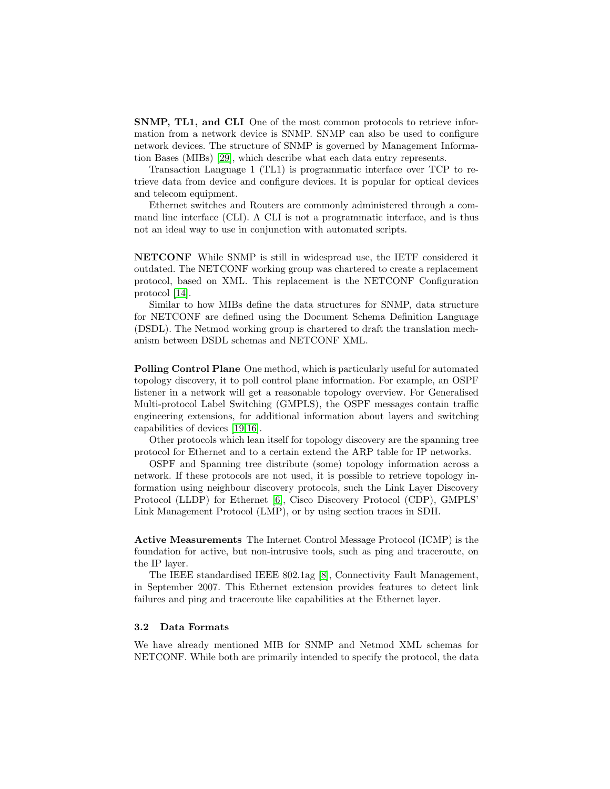SNMP, TL1, and CLI One of the most common protocols to retrieve information from a network device is SNMP. SNMP can also be used to configure network devices. The structure of SNMP is governed by Management Information Bases (MIBs) [\[29\]](#page-11-2), which describe what each data entry represents.

Transaction Language 1 (TL1) is programmatic interface over TCP to retrieve data from device and configure devices. It is popular for optical devices and telecom equipment.

Ethernet switches and Routers are commonly administered through a command line interface (CLI). A CLI is not a programmatic interface, and is thus not an ideal way to use in conjunction with automated scripts.

NETCONF While SNMP is still in widespread use, the IETF considered it outdated. The NETCONF working group was chartered to create a replacement protocol, based on XML. This replacement is the NETCONF Configuration protocol [\[14\]](#page-10-4).

Similar to how MIBs define the data structures for SNMP, data structure for NETCONF are defined using the Document Schema Definition Language (DSDL). The Netmod working group is chartered to draft the translation mechanism between DSDL schemas and NETCONF XML.

Polling Control Plane One method, which is particularly useful for automated topology discovery, it to poll control plane information. For example, an OSPF listener in a network will get a reasonable topology overview. For Generalised Multi-protocol Label Switching (GMPLS), the OSPF messages contain traffic engineering extensions, for additional information about layers and switching capabilities of devices [\[19,](#page-10-5)[16\]](#page-10-6).

Other protocols which lean itself for topology discovery are the spanning tree protocol for Ethernet and to a certain extend the ARP table for IP networks.

OSPF and Spanning tree distribute (some) topology information across a network. If these protocols are not used, it is possible to retrieve topology information using neighbour discovery protocols, such the Link Layer Discovery Protocol (LLDP) for Ethernet [\[6\]](#page-9-5), Cisco Discovery Protocol (CDP), GMPLS' Link Management Protocol (LMP), or by using section traces in SDH.

Active Measurements The Internet Control Message Protocol (ICMP) is the foundation for active, but non-intrusive tools, such as ping and traceroute, on the IP layer.

The IEEE standardised IEEE 802.1ag [\[8\]](#page-10-7), Connectivity Fault Management, in September 2007. This Ethernet extension provides features to detect link failures and ping and traceroute like capabilities at the Ethernet layer.

#### 3.2 Data Formats

We have already mentioned MIB for SNMP and Netmod XML schemas for NETCONF. While both are primarily intended to specify the protocol, the data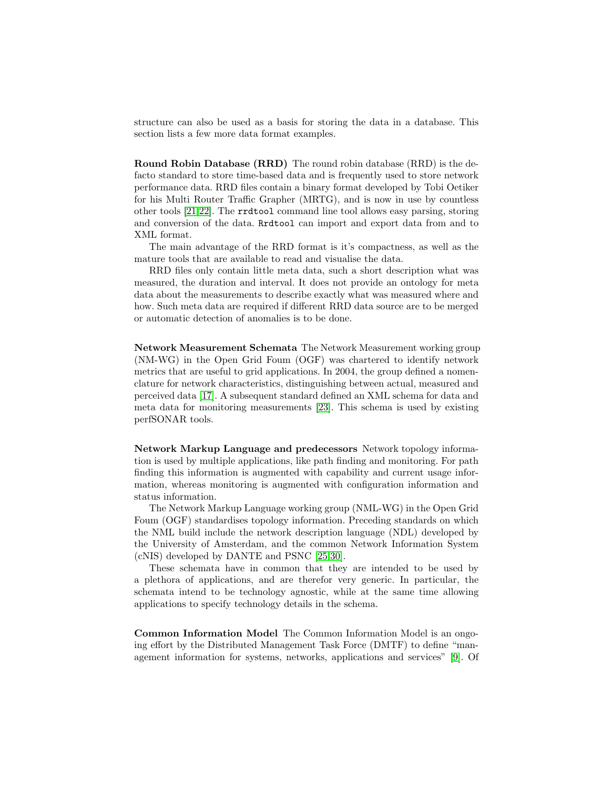structure can also be used as a basis for storing the data in a database. This section lists a few more data format examples.

Round Robin Database (RRD) The round robin database (RRD) is the defacto standard to store time-based data and is frequently used to store network performance data. RRD files contain a binary format developed by Tobi Oetiker for his Multi Router Traffic Grapher (MRTG), and is now in use by countless other tools [\[21,](#page-10-8)[22\]](#page-10-9). The rrdtool command line tool allows easy parsing, storing and conversion of the data. Rrdtool can import and export data from and to XML format.

The main advantage of the RRD format is it's compactness, as well as the mature tools that are available to read and visualise the data.

RRD files only contain little meta data, such a short description what was measured, the duration and interval. It does not provide an ontology for meta data about the measurements to describe exactly what was measured where and how. Such meta data are required if different RRD data source are to be merged or automatic detection of anomalies is to be done.

Network Measurement Schemata The Network Measurement working group (NM-WG) in the Open Grid Foum (OGF) was chartered to identify network metrics that are useful to grid applications. In 2004, the group defined a nomenclature for network characteristics, distinguishing between actual, measured and perceived data [\[17\]](#page-10-10). A subsequent standard defined an XML schema for data and meta data for monitoring measurements [\[23\]](#page-10-11). This schema is used by existing perfSONAR tools.

Network Markup Language and predecessors Network topology information is used by multiple applications, like path finding and monitoring. For path finding this information is augmented with capability and current usage information, whereas monitoring is augmented with configuration information and status information.

The Network Markup Language working group (NML-WG) in the Open Grid Foum (OGF) standardises topology information. Preceding standards on which the NML build include the network description language (NDL) developed by the University of Amsterdam, and the common Network Information System (cNIS) developed by DANTE and PSNC [\[25,](#page-11-3)[30\]](#page-11-4).

These schemata have in common that they are intended to be used by a plethora of applications, and are therefor very generic. In particular, the schemata intend to be technology agnostic, while at the same time allowing applications to specify technology details in the schema.

Common Information Model The Common Information Model is an ongoing effort by the Distributed Management Task Force (DMTF) to define "management information for systems, networks, applications and services" [\[9\]](#page-10-12). Of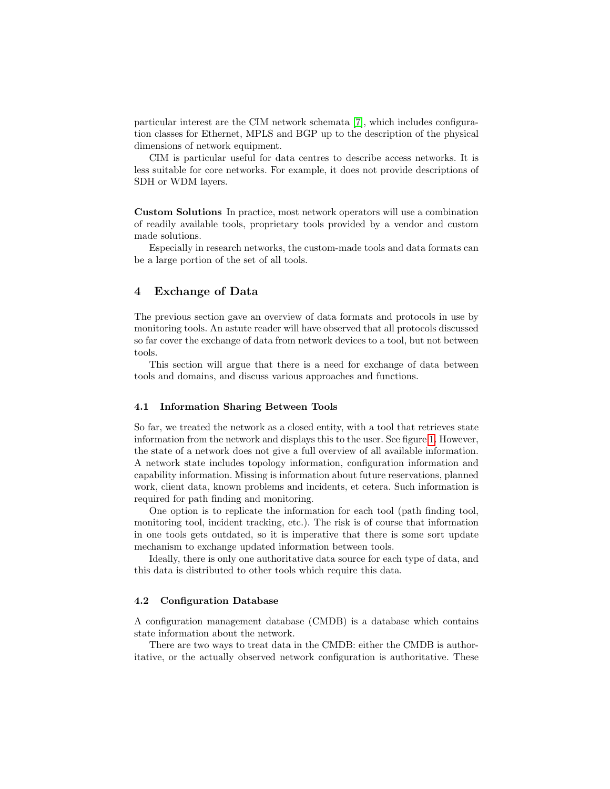particular interest are the CIM network schemata [\[7\]](#page-10-13), which includes configuration classes for Ethernet, MPLS and BGP up to the description of the physical dimensions of network equipment.

CIM is particular useful for data centres to describe access networks. It is less suitable for core networks. For example, it does not provide descriptions of SDH or WDM layers.

Custom Solutions In practice, most network operators will use a combination of readily available tools, proprietary tools provided by a vendor and custom made solutions.

Especially in research networks, the custom-made tools and data formats can be a large portion of the set of all tools.

## 4 Exchange of Data

The previous section gave an overview of data formats and protocols in use by monitoring tools. An astute reader will have observed that all protocols discussed so far cover the exchange of data from network devices to a tool, but not between tools.

This section will argue that there is a need for exchange of data between tools and domains, and discuss various approaches and functions.

#### 4.1 Information Sharing Between Tools

So far, we treated the network as a closed entity, with a tool that retrieves state information from the network and displays this to the user. See figure [1.](#page-2-0) However, the state of a network does not give a full overview of all available information. A network state includes topology information, configuration information and capability information. Missing is information about future reservations, planned work, client data, known problems and incidents, et cetera. Such information is required for path finding and monitoring.

One option is to replicate the information for each tool (path finding tool, monitoring tool, incident tracking, etc.). The risk is of course that information in one tools gets outdated, so it is imperative that there is some sort update mechanism to exchange updated information between tools.

Ideally, there is only one authoritative data source for each type of data, and this data is distributed to other tools which require this data.

#### 4.2 Configuration Database

A configuration management database (CMDB) is a database which contains state information about the network.

There are two ways to treat data in the CMDB: either the CMDB is authoritative, or the actually observed network configuration is authoritative. These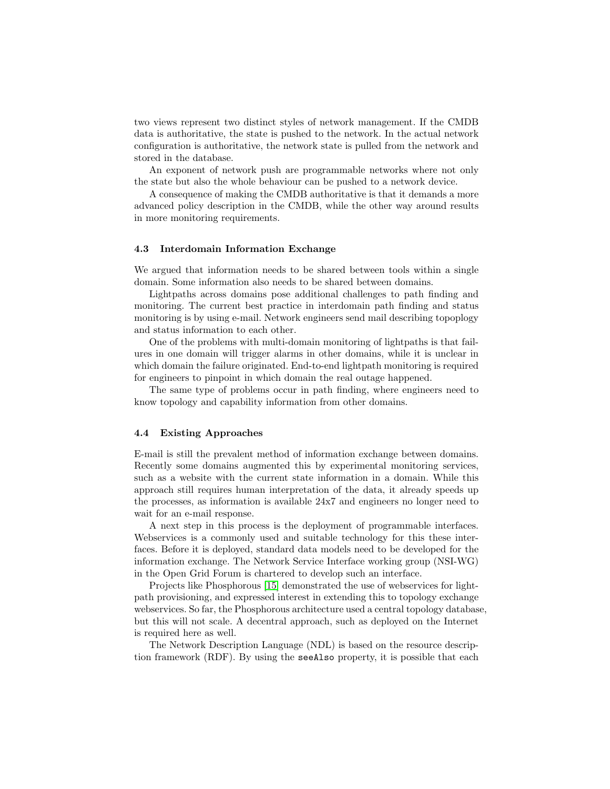two views represent two distinct styles of network management. If the CMDB data is authoritative, the state is pushed to the network. In the actual network configuration is authoritative, the network state is pulled from the network and stored in the database.

An exponent of network push are programmable networks where not only the state but also the whole behaviour can be pushed to a network device.

A consequence of making the CMDB authoritative is that it demands a more advanced policy description in the CMDB, while the other way around results in more monitoring requirements.

#### 4.3 Interdomain Information Exchange

We argued that information needs to be shared between tools within a single domain. Some information also needs to be shared between domains.

Lightpaths across domains pose additional challenges to path finding and monitoring. The current best practice in interdomain path finding and status monitoring is by using e-mail. Network engineers send mail describing topoplogy and status information to each other.

One of the problems with multi-domain monitoring of lightpaths is that failures in one domain will trigger alarms in other domains, while it is unclear in which domain the failure originated. End-to-end lightpath monitoring is required for engineers to pinpoint in which domain the real outage happened.

The same type of problems occur in path finding, where engineers need to know topology and capability information from other domains.

#### 4.4 Existing Approaches

E-mail is still the prevalent method of information exchange between domains. Recently some domains augmented this by experimental monitoring services, such as a website with the current state information in a domain. While this approach still requires human interpretation of the data, it already speeds up the processes, as information is available 24x7 and engineers no longer need to wait for an e-mail response.

A next step in this process is the deployment of programmable interfaces. Webservices is a commonly used and suitable technology for this these interfaces. Before it is deployed, standard data models need to be developed for the information exchange. The Network Service Interface working group (NSI-WG) in the Open Grid Forum is chartered to develop such an interface.

Projects like Phosphorous [\[15\]](#page-10-14) demonstrated the use of webservices for lightpath provisioning, and expressed interest in extending this to topology exchange webservices. So far, the Phosphorous architecture used a central topology database, but this will not scale. A decentral approach, such as deployed on the Internet is required here as well.

The Network Description Language (NDL) is based on the resource description framework (RDF). By using the seeAlso property, it is possible that each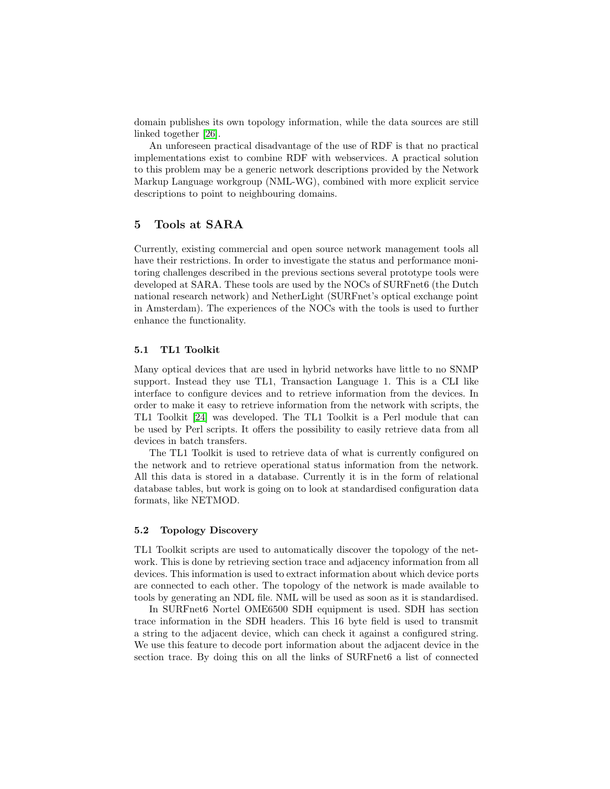domain publishes its own topology information, while the data sources are still linked together [\[26\]](#page-11-5).

An unforeseen practical disadvantage of the use of RDF is that no practical implementations exist to combine RDF with webservices. A practical solution to this problem may be a generic network descriptions provided by the Network Markup Language workgroup (NML-WG), combined with more explicit service descriptions to point to neighbouring domains.

# 5 Tools at SARA

Currently, existing commercial and open source network management tools all have their restrictions. In order to investigate the status and performance monitoring challenges described in the previous sections several prototype tools were developed at SARA. These tools are used by the NOCs of SURFnet6 (the Dutch national research network) and NetherLight (SURFnet's optical exchange point in Amsterdam). The experiences of the NOCs with the tools is used to further enhance the functionality.

## 5.1 TL1 Toolkit

Many optical devices that are used in hybrid networks have little to no SNMP support. Instead they use TL1, Transaction Language 1. This is a CLI like interface to configure devices and to retrieve information from the devices. In order to make it easy to retrieve information from the network with scripts, the TL1 Toolkit [\[24\]](#page-10-15) was developed. The TL1 Toolkit is a Perl module that can be used by Perl scripts. It offers the possibility to easily retrieve data from all devices in batch transfers.

The TL1 Toolkit is used to retrieve data of what is currently configured on the network and to retrieve operational status information from the network. All this data is stored in a database. Currently it is in the form of relational database tables, but work is going on to look at standardised configuration data formats, like NETMOD.

#### 5.2 Topology Discovery

TL1 Toolkit scripts are used to automatically discover the topology of the network. This is done by retrieving section trace and adjacency information from all devices. This information is used to extract information about which device ports are connected to each other. The topology of the network is made available to tools by generating an NDL file. NML will be used as soon as it is standardised.

In SURFnet6 Nortel OME6500 SDH equipment is used. SDH has section trace information in the SDH headers. This 16 byte field is used to transmit a string to the adjacent device, which can check it against a configured string. We use this feature to decode port information about the adjacent device in the section trace. By doing this on all the links of SURFnet6 a list of connected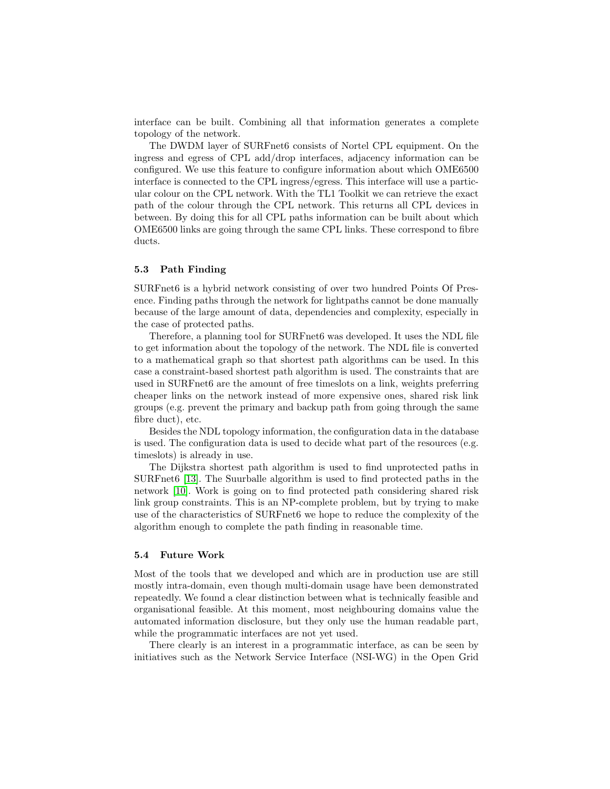interface can be built. Combining all that information generates a complete topology of the network.

The DWDM layer of SURFnet6 consists of Nortel CPL equipment. On the ingress and egress of CPL add/drop interfaces, adjacency information can be configured. We use this feature to configure information about which OME6500 interface is connected to the CPL ingress/egress. This interface will use a particular colour on the CPL network. With the TL1 Toolkit we can retrieve the exact path of the colour through the CPL network. This returns all CPL devices in between. By doing this for all CPL paths information can be built about which OME6500 links are going through the same CPL links. These correspond to fibre ducts.

#### 5.3 Path Finding

SURFnet6 is a hybrid network consisting of over two hundred Points Of Presence. Finding paths through the network for lightpaths cannot be done manually because of the large amount of data, dependencies and complexity, especially in the case of protected paths.

Therefore, a planning tool for SURFnet6 was developed. It uses the NDL file to get information about the topology of the network. The NDL file is converted to a mathematical graph so that shortest path algorithms can be used. In this case a constraint-based shortest path algorithm is used. The constraints that are used in SURFnet6 are the amount of free timeslots on a link, weights preferring cheaper links on the network instead of more expensive ones, shared risk link groups (e.g. prevent the primary and backup path from going through the same fibre duct), etc.

Besides the NDL topology information, the configuration data in the database is used. The configuration data is used to decide what part of the resources (e.g. timeslots) is already in use.

The Dijkstra shortest path algorithm is used to find unprotected paths in SURFnet6 [\[13\]](#page-10-16). The Suurballe algorithm is used to find protected paths in the network [\[10\]](#page-10-17). Work is going on to find protected path considering shared risk link group constraints. This is an NP-complete problem, but by trying to make use of the characteristics of SURFnet6 we hope to reduce the complexity of the algorithm enough to complete the path finding in reasonable time.

#### 5.4 Future Work

Most of the tools that we developed and which are in production use are still mostly intra-domain, even though multi-domain usage have been demonstrated repeatedly. We found a clear distinction between what is technically feasible and organisational feasible. At this moment, most neighbouring domains value the automated information disclosure, but they only use the human readable part, while the programmatic interfaces are not yet used.

There clearly is an interest in a programmatic interface, as can be seen by initiatives such as the Network Service Interface (NSI-WG) in the Open Grid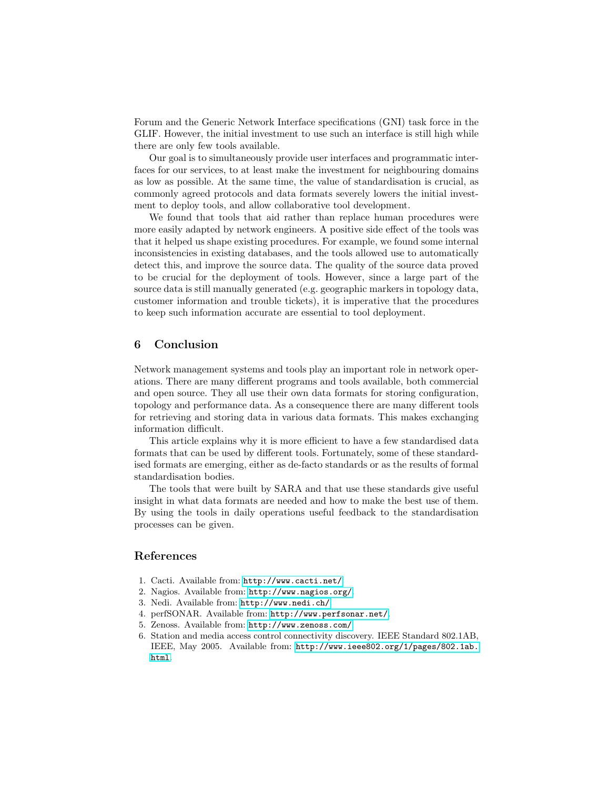Forum and the Generic Network Interface specifications (GNI) task force in the GLIF. However, the initial investment to use such an interface is still high while there are only few tools available.

Our goal is to simultaneously provide user interfaces and programmatic interfaces for our services, to at least make the investment for neighbouring domains as low as possible. At the same time, the value of standardisation is crucial, as commonly agreed protocols and data formats severely lowers the initial investment to deploy tools, and allow collaborative tool development.

We found that tools that aid rather than replace human procedures were more easily adapted by network engineers. A positive side effect of the tools was that it helped us shape existing procedures. For example, we found some internal inconsistencies in existing databases, and the tools allowed use to automatically detect this, and improve the source data. The quality of the source data proved to be crucial for the deployment of tools. However, since a large part of the source data is still manually generated (e.g. geographic markers in topology data, customer information and trouble tickets), it is imperative that the procedures to keep such information accurate are essential to tool deployment.

# 6 Conclusion

Network management systems and tools play an important role in network operations. There are many different programs and tools available, both commercial and open source. They all use their own data formats for storing configuration, topology and performance data. As a consequence there are many different tools for retrieving and storing data in various data formats. This makes exchanging information difficult.

This article explains why it is more efficient to have a few standardised data formats that can be used by different tools. Fortunately, some of these standardised formats are emerging, either as de-facto standards or as the results of formal standardisation bodies.

The tools that were built by SARA and that use these standards give useful insight in what data formats are needed and how to make the best use of them. By using the tools in daily operations useful feedback to the standardisation processes can be given.

# References

- <span id="page-9-0"></span>1. Cacti. Available from: <http://www.cacti.net/>.
- <span id="page-9-1"></span>2. Nagios. Available from: <http://www.nagios.org/>.
- <span id="page-9-2"></span>3. Nedi. Available from: <http://www.nedi.ch/>.
- <span id="page-9-4"></span>4. perfSONAR. Available from: <http://www.perfsonar.net/>.
- <span id="page-9-3"></span>5. Zenoss. Available from: <http://www.zenoss.com/>.
- <span id="page-9-5"></span>6. Station and media access control connectivity discovery. IEEE Standard 802.1AB, IEEE, May 2005. Available from: [http://www.ieee802.org/1/pages/802.1ab.](http://www.ieee802.org/1/pages/802.1ab.html) [html](http://www.ieee802.org/1/pages/802.1ab.html).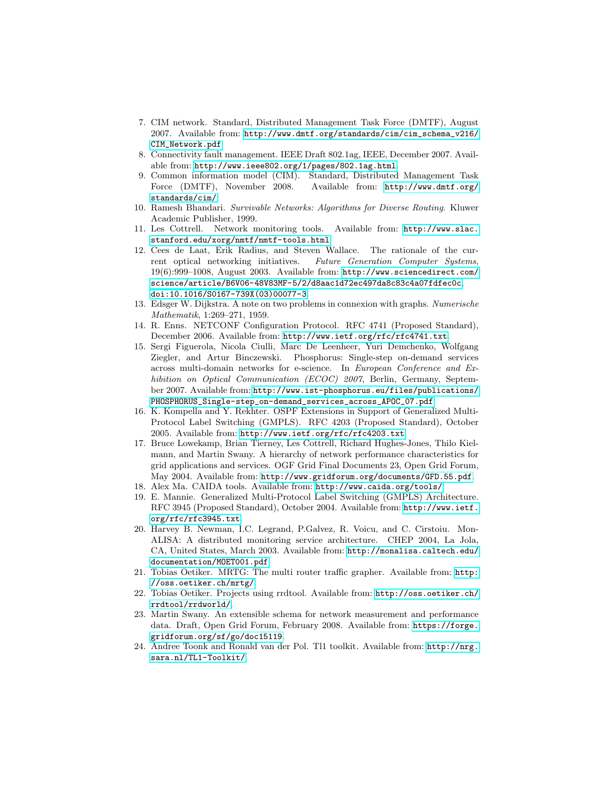- <span id="page-10-13"></span>7. CIM network. Standard, Distributed Management Task Force (DMTF), August 2007. Available from: [http://www.dmtf.org/standards/cim/cim\\_schema\\_v216/](http://www.dmtf.org/standards/cim/cim_schema_v216/CIM_Network.pdf) [CIM\\_Network.pdf](http://www.dmtf.org/standards/cim/cim_schema_v216/CIM_Network.pdf).
- <span id="page-10-7"></span>8. Connectivity fault management. IEEE Draft 802.1ag, IEEE, December 2007. Available from: <http://www.ieee802.org/1/pages/802.1ag.html>.
- <span id="page-10-12"></span>9. Common information model (CIM). Standard, Distributed Management Task Force (DMTF), November 2008. Available from: [http://www.dmtf.org/](http://www.dmtf.org/standards/cim/) [standards/cim/](http://www.dmtf.org/standards/cim/).
- <span id="page-10-17"></span>10. Ramesh Bhandari. Survivable Networks: Algorithms for Diverse Routing. Kluwer Academic Publisher, 1999.
- <span id="page-10-0"></span>11. Les Cottrell. Network monitoring tools. Available from: [http://www.slac.](http://www.slac.stanford.edu/xorg/nmtf/nmtf-tools.html) [stanford.edu/xorg/nmtf/nmtf-tools.html](http://www.slac.stanford.edu/xorg/nmtf/nmtf-tools.html).
- <span id="page-10-2"></span>12. Cees de Laat, Erik Radius, and Steven Wallace. The rationale of the current optical networking initiatives. Future Generation Computer Systems, 19(6):999–1008, August 2003. Available from: [http://www.sciencedirect.com/](http://www.sciencedirect.com/science/article/B6V06-48V83MF-5/2/d8aac1d72ec497da8c83c4a07fdfec0c) [science/article/B6V06-48V83MF-5/2/d8aac1d72ec497da8c83c4a07fdfec0c](http://www.sciencedirect.com/science/article/B6V06-48V83MF-5/2/d8aac1d72ec497da8c83c4a07fdfec0c), [doi:10.1016/S0167-739X\(03\)00077-3](http://dx.doi.org/10.1016/S0167-739X(03)00077-3).
- <span id="page-10-16"></span>13. Edsger W. Dijkstra. A note on two problems in connexion with graphs. Numerische Mathematik, 1:269–271, 1959.
- <span id="page-10-4"></span>14. R. Enns. NETCONF Configuration Protocol. RFC 4741 (Proposed Standard), December 2006. Available from: <http://www.ietf.org/rfc/rfc4741.txt>.
- <span id="page-10-14"></span>15. Sergi Figuerola, Nicola Ciulli, Marc De Leenheer, Yuri Demchenko, Wolfgang Ziegler, and Artur Binczewski. Phosphorus: Single-step on-demand services across multi-domain networks for e-science. In European Conference and Exhibition on Optical Communication (ECOC) 2007, Berlin, Germany, September 2007. Available from: [http://www.ist-phosphorus.eu/files/publications/](http://www.ist-phosphorus.eu/files/publications/PHOSPHORUS_Single-step_on-demand_services_across_APOC_07.pdf) [PHOSPHORUS\\_Single-step\\_on-demand\\_services\\_across\\_APOC\\_07.pdf](http://www.ist-phosphorus.eu/files/publications/PHOSPHORUS_Single-step_on-demand_services_across_APOC_07.pdf).
- <span id="page-10-6"></span>16. K. Kompella and Y. Rekhter. OSPF Extensions in Support of Generalized Multi-Protocol Label Switching (GMPLS). RFC 4203 (Proposed Standard), October 2005. Available from: <http://www.ietf.org/rfc/rfc4203.txt>.
- <span id="page-10-10"></span>17. Bruce Lowekamp, Brian Tierney, Les Cottrell, Richard Hughes-Jones, Thilo Kielmann, and Martin Swany. A hierarchy of network performance characteristics for grid applications and services. OGF Grid Final Documents 23, Open Grid Forum, May 2004. Available from: <http://www.gridforum.org/documents/GFD.55.pdf>.
- <span id="page-10-1"></span>18. Alex Ma. CAIDA tools. Available from: <http://www.caida.org/tools/>.
- <span id="page-10-5"></span>19. E. Mannie. Generalized Multi-Protocol Label Switching (GMPLS) Architecture. RFC 3945 (Proposed Standard), October 2004. Available from: [http://www.ietf.](http://www.ietf.org/rfc/rfc3945.txt) [org/rfc/rfc3945.txt](http://www.ietf.org/rfc/rfc3945.txt).
- <span id="page-10-3"></span>20. Harvey B. Newman, I.C. Legrand, P.Galvez, R. Voicu, and C. Cirstoiu. Mon-ALISA: A distributed monitoring service architecture. CHEP 2004, La Jola, CA, United States, March 2003. Available from: [http://monalisa.caltech.edu/](http://monalisa.caltech.edu/documentation/MOET001.pdf) [documentation/MOET001.pdf](http://monalisa.caltech.edu/documentation/MOET001.pdf).
- <span id="page-10-8"></span>21. Tobias Oetiker. MRTG: The multi router traffic grapher. Available from: [http:](http://oss.oetiker.ch/mrtg/) [//oss.oetiker.ch/mrtg/](http://oss.oetiker.ch/mrtg/).
- <span id="page-10-9"></span>22. Tobias Oetiker. Projects using rrdtool. Available from: [http://oss.oetiker.ch/](http://oss.oetiker.ch/rrdtool/rrdworld/) [rrdtool/rrdworld/](http://oss.oetiker.ch/rrdtool/rrdworld/).
- <span id="page-10-11"></span>23. Martin Swany. An extensible schema for network measurement and performance data. Draft, Open Grid Forum, February 2008. Available from: [https://forge.](https://forge.gridforum.org/sf/go/doc15119) [gridforum.org/sf/go/doc15119](https://forge.gridforum.org/sf/go/doc15119).
- <span id="page-10-15"></span>24. Andree Toonk and Ronald van der Pol. Tl1 toolkit. Available from: [http://nrg.](http://nrg.sara.nl/TL1-Toolkit/) [sara.nl/TL1-Toolkit/](http://nrg.sara.nl/TL1-Toolkit/).